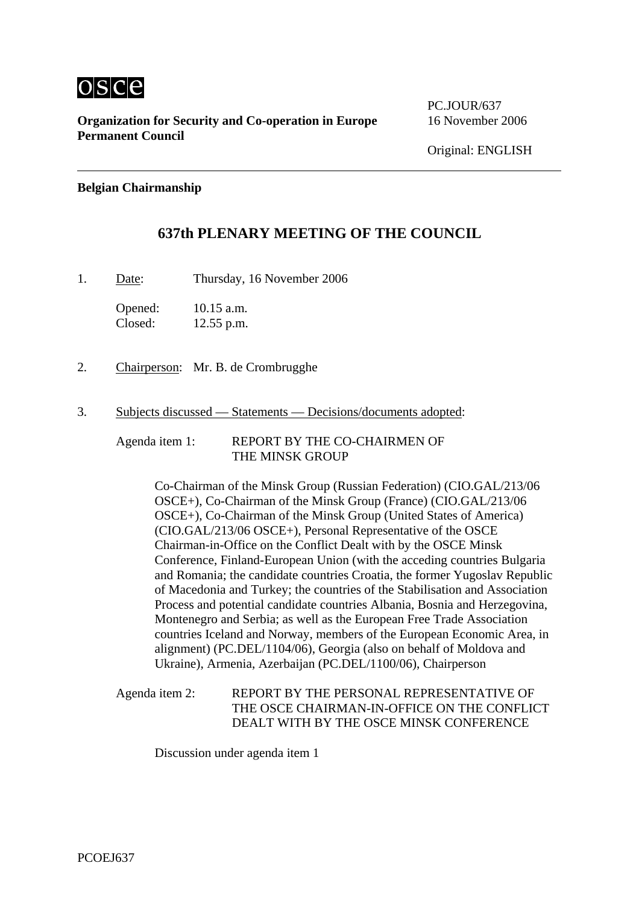

**Organization for Security and Co-operation in Europe** 16 November 2006 **Permanent Council** 

PC.JOUR/637

# **Belgian Chairmanship**

# **637th PLENARY MEETING OF THE COUNCIL**

1. Date: Thursday, 16 November 2006

Opened: 10.15 a.m. Closed: 12.55 p.m.

- 2. Chairperson: Mr. B. de Crombrugghe
- 3. Subjects discussed Statements Decisions/documents adopted:

Agenda item 1: REPORT BY THE CO-CHAIRMEN OF THE MINSK GROUP

> Co-Chairman of the Minsk Group (Russian Federation) (CIO.GAL/213/06 OSCE+), Co-Chairman of the Minsk Group (France) (CIO.GAL/213/06 OSCE+), Co-Chairman of the Minsk Group (United States of America) (CIO.GAL/213/06 OSCE+), Personal Representative of the OSCE Chairman-in-Office on the Conflict Dealt with by the OSCE Minsk Conference, Finland-European Union (with the acceding countries Bulgaria and Romania; the candidate countries Croatia, the former Yugoslav Republic of Macedonia and Turkey; the countries of the Stabilisation and Association Process and potential candidate countries Albania, Bosnia and Herzegovina, Montenegro and Serbia; as well as the European Free Trade Association countries Iceland and Norway, members of the European Economic Area, in alignment) (PC.DEL/1104/06), Georgia (also on behalf of Moldova and Ukraine), Armenia, Azerbaijan (PC.DEL/1100/06), Chairperson

Agenda item 2: REPORT BY THE PERSONAL REPRESENTATIVE OF THE OSCE CHAIRMAN-IN-OFFICE ON THE CONFLICT DEALT WITH BY THE OSCE MINSK CONFERENCE

Discussion under agenda item 1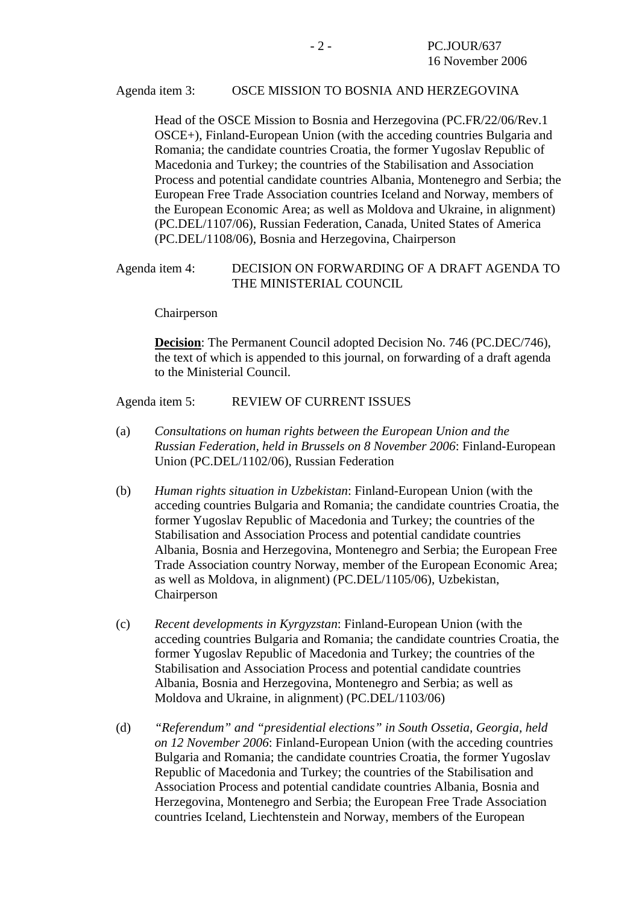#### Agenda item 3: OSCE MISSION TO BOSNIA AND HERZEGOVINA

Head of the OSCE Mission to Bosnia and Herzegovina (PC.FR/22/06/Rev.1 OSCE+), Finland-European Union (with the acceding countries Bulgaria and Romania; the candidate countries Croatia, the former Yugoslav Republic of Macedonia and Turkey; the countries of the Stabilisation and Association Process and potential candidate countries Albania, Montenegro and Serbia; the European Free Trade Association countries Iceland and Norway, members of the European Economic Area; as well as Moldova and Ukraine, in alignment) (PC.DEL/1107/06), Russian Federation, Canada, United States of America (PC.DEL/1108/06), Bosnia and Herzegovina, Chairperson

### Agenda item 4: DECISION ON FORWARDING OF A DRAFT AGENDA TO THE MINISTERIAL COUNCIL

Chairperson

**Decision**: The Permanent Council adopted Decision No. 746 (PC.DEC/746), the text of which is appended to this journal, on forwarding of a draft agenda to the Ministerial Council.

Agenda item 5: REVIEW OF CURRENT ISSUES

- (a) *Consultations on human rights between the European Union and the Russian Federation, held in Brussels on 8 November 2006*: Finland-European Union (PC.DEL/1102/06), Russian Federation
- (b) *Human rights situation in Uzbekistan*: Finland-European Union (with the acceding countries Bulgaria and Romania; the candidate countries Croatia, the former Yugoslav Republic of Macedonia and Turkey; the countries of the Stabilisation and Association Process and potential candidate countries Albania, Bosnia and Herzegovina, Montenegro and Serbia; the European Free Trade Association country Norway, member of the European Economic Area; as well as Moldova, in alignment) (PC.DEL/1105/06), Uzbekistan, Chairperson
- (c) *Recent developments in Kyrgyzstan*: Finland-European Union (with the acceding countries Bulgaria and Romania; the candidate countries Croatia, the former Yugoslav Republic of Macedonia and Turkey; the countries of the Stabilisation and Association Process and potential candidate countries Albania, Bosnia and Herzegovina, Montenegro and Serbia; as well as Moldova and Ukraine, in alignment) (PC.DEL/1103/06)
- (d) *"Referendum" and "presidential elections" in South Ossetia, Georgia, held on 12 November 2006*: Finland-European Union (with the acceding countries Bulgaria and Romania; the candidate countries Croatia, the former Yugoslav Republic of Macedonia and Turkey; the countries of the Stabilisation and Association Process and potential candidate countries Albania, Bosnia and Herzegovina, Montenegro and Serbia; the European Free Trade Association countries Iceland, Liechtenstein and Norway, members of the European